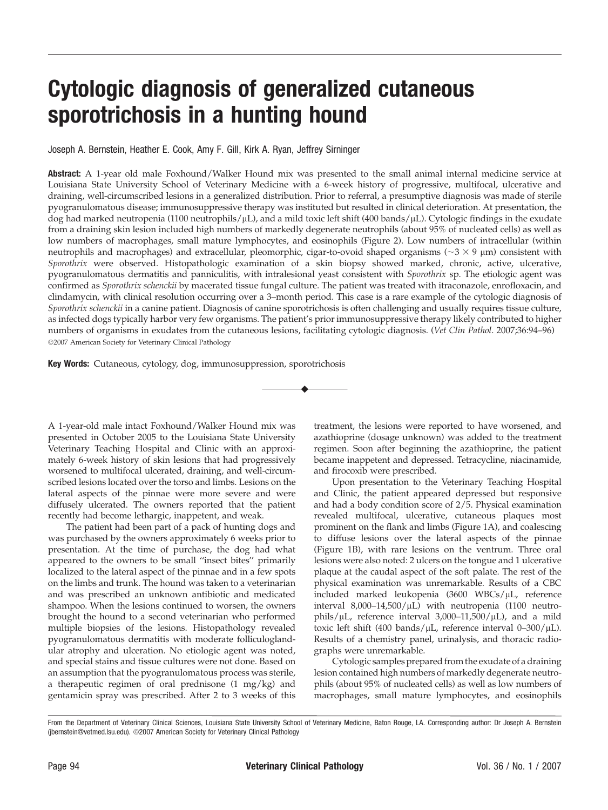## Cytologic diagnosis of generalized cutaneous sporotrichosis in a hunting hound

Joseph A. Bernstein, Heather E. Cook, Amy F. Gill, Kirk A. Ryan, Jeffrey Sirninger

Abstract: A 1-year old male Foxhound/Walker Hound mix was presented to the small animal internal medicine service at Louisiana State University School of Veterinary Medicine with a 6-week history of progressive, multifocal, ulcerative and draining, well-circumscribed lesions in a generalized distribution. Prior to referral, a presumptive diagnosis was made of sterile pyogranulomatous disease; immunosuppressive therapy was instituted but resulted in clinical deterioration. At presentation, the dog had marked neutropenia (1100 neutrophils/µL), and a mild toxic left shift (400 bands/µL). Cytologic findings in the exudate from a draining skin lesion included high numbers of markedly degenerate neutrophils (about 95% of nucleated cells) as well as low numbers of macrophages, small mature lymphocytes, and eosinophils (Figure 2). Low numbers of intracellular (within neutrophils and macrophages) and extracellular, pleomorphic, cigar-to-ovoid shaped organisms ( $\sim$ 3  $\times$  9  $\mu$ m) consistent with Sporothrix were observed. Histopathologic examination of a skin biopsy showed marked, chronic, active, ulcerative, pyogranulomatous dermatitis and panniculitis, with intralesional yeast consistent with Sporothrix sp. The etiologic agent was confirmed as Sporothrix schenckii by macerated tissue fungal culture. The patient was treated with itraconazole, enrofloxacin, and clindamycin, with clinical resolution occurring over a 3–month period. This case is a rare example of the cytologic diagnosis of Sporothrix schenckii in a canine patient. Diagnosis of canine sporotrichosis is often challenging and usually requires tissue culture, as infected dogs typically harbor very few organisms. The patient's prior immunosuppressive therapy likely contributed to higher numbers of organisms in exudates from the cutaneous lesions, facilitating cytologic diagnosis. (Vet Clin Pathol. 2007;36:94–96) 2007 American Society for Veterinary Clinical Pathology

*u*

Key Words: Cutaneous, cytology, dog, immunosuppression, sporotrichosis

A 1-year-old male intact Foxhound/Walker Hound mix was presented in October 2005 to the Louisiana State University Veterinary Teaching Hospital and Clinic with an approximately 6-week history of skin lesions that had progressively worsened to multifocal ulcerated, draining, and well-circumscribed lesions located over the torso and limbs. Lesions on the lateral aspects of the pinnae were more severe and were diffusely ulcerated. The owners reported that the patient recently had become lethargic, inappetent, and weak.

The patient had been part of a pack of hunting dogs and was purchased by the owners approximately 6 weeks prior to presentation. At the time of purchase, the dog had what appeared to the owners to be small ''insect bites'' primarily localized to the lateral aspect of the pinnae and in a few spots on the limbs and trunk. The hound was taken to a veterinarian and was prescribed an unknown antibiotic and medicated shampoo. When the lesions continued to worsen, the owners brought the hound to a second veterinarian who performed multiple biopsies of the lesions. Histopathology revealed pyogranulomatous dermatitis with moderate folliculoglandular atrophy and ulceration. No etiologic agent was noted, and special stains and tissue cultures were not done. Based on an assumption that the pyogranulomatous process was sterile, a therapeutic regimen of oral prednisone (1 mg/kg) and gentamicin spray was prescribed. After 2 to 3 weeks of this treatment, the lesions were reported to have worsened, and azathioprine (dosage unknown) was added to the treatment regimen. Soon after beginning the azathioprine, the patient became inappetent and depressed. Tetracycline, niacinamide, and firocoxib were prescribed.

Upon presentation to the Veterinary Teaching Hospital and Clinic, the patient appeared depressed but responsive and had a body condition score of 2/5. Physical examination revealed multifocal, ulcerative, cutaneous plaques most prominent on the flank and limbs (Figure 1A), and coalescing to diffuse lesions over the lateral aspects of the pinnae (Figure 1B), with rare lesions on the ventrum. Three oral lesions were also noted: 2 ulcers on the tongue and 1 ulcerative plaque at the caudal aspect of the soft palate. The rest of the physical examination was unremarkable. Results of a CBC included marked leukopenia  $(3600 \text{ WBCs}/\mu\text{L})$ , reference interval  $8,000-14,500/\mu L$ ) with neutropenia (1100 neutrophils/ $\mu$ L, reference interval 3,000–11,500/ $\mu$ L), and a mild toxic left shift (400 bands/ $\mu$ L, reference interval 0–300/ $\mu$ L). Results of a chemistry panel, urinalysis, and thoracic radiographs were unremarkable.

Cytologic samples prepared from the exudate of a draining lesion contained high numbers of markedly degenerate neutrophils (about 95% of nucleated cells) as well as low numbers of macrophages, small mature lymphocytes, and eosinophils

From the Department of Veterinary Clinical Sciences, Louisiana State University School of Veterinary Medicine, Baton Rouge, LA. Corresponding author: Dr Joseph A. Bernstein (jbernstein@vetmed.lsu.edu). @2007 American Society for Veterinary Clinical Pathology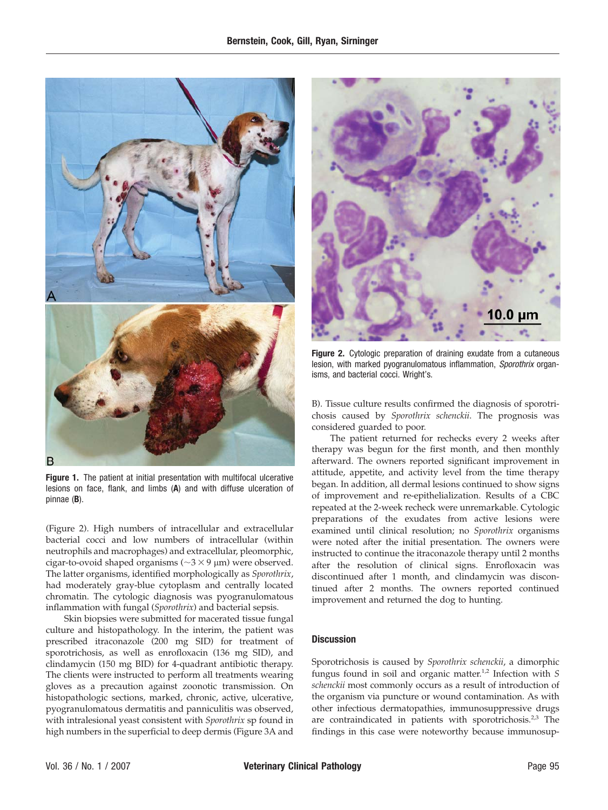

Figure 1. The patient at initial presentation with multifocal ulcerative lesions on face, flank, and limbs (A) and with diffuse ulceration of pinnae (B).

(Figure 2). High numbers of intracellular and extracellular bacterial cocci and low numbers of intracellular (within neutrophils and macrophages) and extracellular, pleomorphic, cigar-to-ovoid shaped organisms ( $\sim$ 3  $\times$  9 µm) were observed. The latter organisms, identified morphologically as Sporothrix, had moderately gray-blue cytoplasm and centrally located chromatin. The cytologic diagnosis was pyogranulomatous inflammation with fungal (Sporothrix) and bacterial sepsis.

Skin biopsies were submitted for macerated tissue fungal culture and histopathology. In the interim, the patient was prescribed itraconazole (200 mg SID) for treatment of sporotrichosis, as well as enrofloxacin (136 mg SID), and clindamycin (150 mg BID) for 4-quadrant antibiotic therapy. The clients were instructed to perform all treatments wearing gloves as a precaution against zoonotic transmission. On histopathologic sections, marked, chronic, active, ulcerative, pyogranulomatous dermatitis and panniculitis was observed, with intralesional yeast consistent with Sporothrix sp found in high numbers in the superficial to deep dermis (Figure 3A and



Figure 2. Cytologic preparation of draining exudate from a cutaneous lesion, with marked pyogranulomatous inflammation, Sporothrix organisms, and bacterial cocci. Wright's.

B). Tissue culture results confirmed the diagnosis of sporotrichosis caused by Sporothrix schenckii. The prognosis was considered guarded to poor.

The patient returned for rechecks every 2 weeks after therapy was begun for the first month, and then monthly afterward. The owners reported significant improvement in attitude, appetite, and activity level from the time therapy began. In addition, all dermal lesions continued to show signs of improvement and re-epithelialization. Results of a CBC repeated at the 2-week recheck were unremarkable. Cytologic preparations of the exudates from active lesions were examined until clinical resolution; no Sporothrix organisms were noted after the initial presentation. The owners were instructed to continue the itraconazole therapy until 2 months after the resolution of clinical signs. Enrofloxacin was discontinued after 1 month, and clindamycin was discontinued after 2 months. The owners reported continued improvement and returned the dog to hunting.

## **Discussion**

Sporotrichosis is caused by Sporothrix schenckii, a dimorphic fungus found in soil and organic matter.<sup>1,2</sup> Infection with  $S$ schenckii most commonly occurs as a result of introduction of the organism via puncture or wound contamination. As with other infectious dermatopathies, immunosuppressive drugs are contraindicated in patients with sporotrichosis.<sup>2,3</sup> The findings in this case were noteworthy because immunosup-